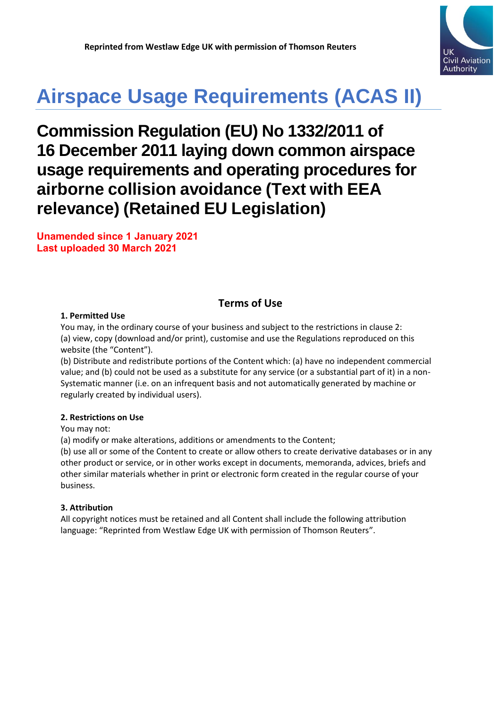

# **Airspace Usage Requirements (ACAS II)**

# **Commission Regulation (EU) No 1332/2011 of 16 December 2011 laying down common airspace usage requirements and operating procedures for airborne collision avoidance (Text with EEA relevance) (Retained EU Legislation)**

**Unamended since 1 January 2021 Last uploaded 30 March 2021**

# **Terms of Use**

#### **1. Permitted Use**

You may, in the ordinary course of your business and subject to the restrictions in clause 2: (a) view, copy (download and/or print), customise and use the Regulations reproduced on this website (the "Content").

(b) Distribute and redistribute portions of the Content which: (a) have no independent commercial value; and (b) could not be used as a substitute for any service (or a substantial part of it) in a non-Systematic manner (i.e. on an infrequent basis and not automatically generated by machine or regularly created by individual users).

#### **2. Restrictions on Use**

You may not:

(a) modify or make alterations, additions or amendments to the Content;

(b) use all or some of the Content to create or allow others to create derivative databases or in any other product or service, or in other works except in documents, memoranda, advices, briefs and other similar materials whether in print or electronic form created in the regular course of your business.

#### **3. Attribution**

All copyright notices must be retained and all Content shall include the following attribution language: "Reprinted from Westlaw Edge UK with permission of Thomson Reuters".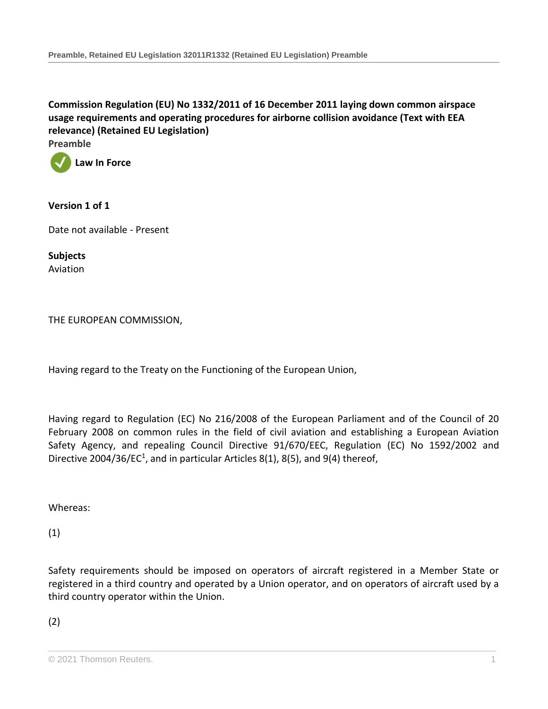**[Commission Regulation \(EU\) No 1332/2011 of 16 December 2011 laying down common airspace](http://uk.westlaw.com/Document/ID305581066A211EB97A3871FB1C5C1F1/View/FullText.html?originationContext=document&transitionType=DocumentItem&vr=3.0&rs=PLUK1.0&contextData=(sc.Search))  [usage requirements and operating procedures for airborne collision avoidance \(Text with EEA](http://uk.westlaw.com/Document/ID305581066A211EB97A3871FB1C5C1F1/View/FullText.html?originationContext=document&transitionType=DocumentItem&vr=3.0&rs=PLUK1.0&contextData=(sc.Search))  [relevance\) \(Retained EU Legislation\)](http://uk.westlaw.com/Document/ID305581066A211EB97A3871FB1C5C1F1/View/FullText.html?originationContext=document&transitionType=DocumentItem&vr=3.0&rs=PLUK1.0&contextData=(sc.Search))**

**Preamble**



#### **Version 1 of 1**

Date not available - Present

**Subjects** Aviation

THE EUROPEAN COMMISSION,

Having regard to the Treaty on the Functioning of the European Union,

Having regard to Regulation (EC) No 216/2008 of the European Parliament and of the Council of 20 February 2008 on common rules in the field of civil aviation and establishing a European Aviation Safety Agency, and repealing Council Directive 91/670/EEC, Regulation (EC) No 1592/2002 and Directive 2004/36/EC<sup>1</sup>, and in particular Articles 8(1), 8(5), and 9(4) thereof,

Whereas:

(1)

Safety requirements should be imposed on operators of aircraft registered in a Member State or registered in a third country and operated by a Union operator, and on operators of aircraft used by a third country operator within the Union.

(2)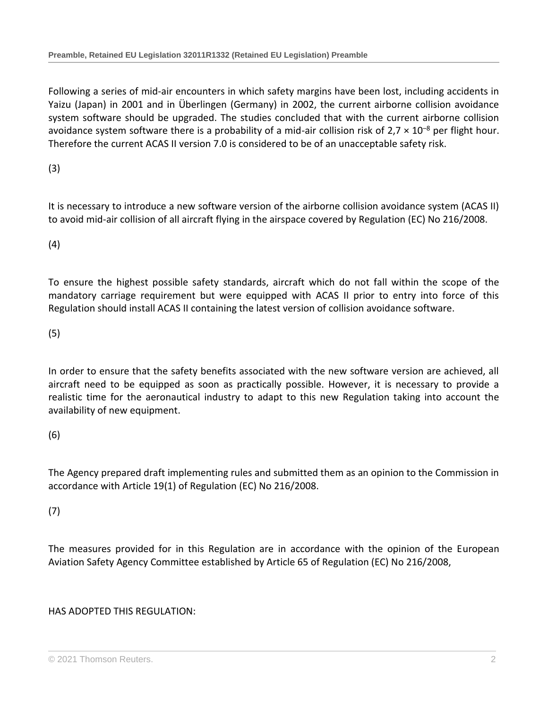Following a series of mid-air encounters in which safety margins have been lost, including accidents in Yaizu (Japan) in 2001 and in Überlingen (Germany) in 2002, the current airborne collision avoidance system software should be upgraded. The studies concluded that with the current airborne collision avoidance system software there is a probability of a mid-air collision risk of  $2.7 \times 10^{-8}$  per flight hour. Therefore the current ACAS II version 7.0 is considered to be of an unacceptable safety risk.

(3)

It is necessary to introduce a new software version of the airborne collision avoidance system (ACAS II) to avoid mid-air collision of all aircraft flying in the airspace covered by Regulation (EC) No 216/2008.

(4)

To ensure the highest possible safety standards, aircraft which do not fall within the scope of the mandatory carriage requirement but were equipped with ACAS II prior to entry into force of this Regulation should install ACAS II containing the latest version of collision avoidance software.

(5)

In order to ensure that the safety benefits associated with the new software version are achieved, all aircraft need to be equipped as soon as practically possible. However, it is necessary to provide a realistic time for the aeronautical industry to adapt to this new Regulation taking into account the availability of new equipment.

(6)

The Agency prepared draft implementing rules and submitted them as an opinion to the Commission in accordance with Article 19(1) of Regulation (EC) No 216/2008.

(7)

The measures provided for in this Regulation are in accordance with the opinion of the European Aviation Safety Agency Committee established by Article 65 of Regulation (EC) No 216/2008,

HAS ADOPTED THIS REGULATION: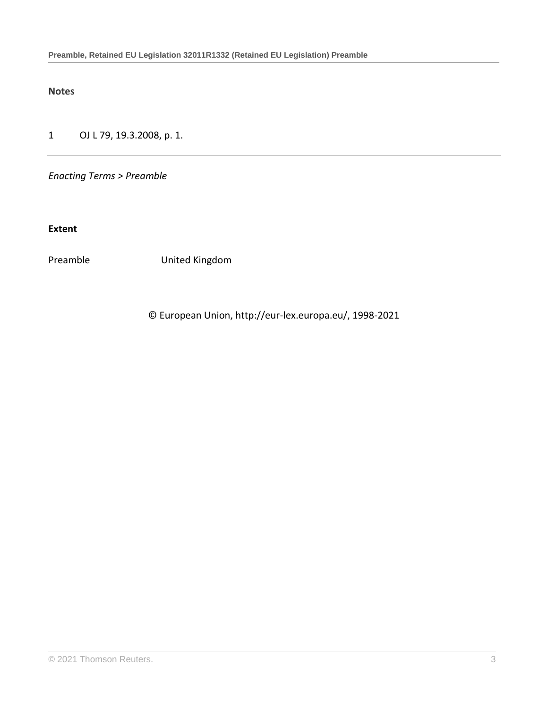**Notes**

1 OJ L 79, 19.3.2008, p. 1.

*Enacting Terms > Preamble*

**Extent**

Preamble United Kingdom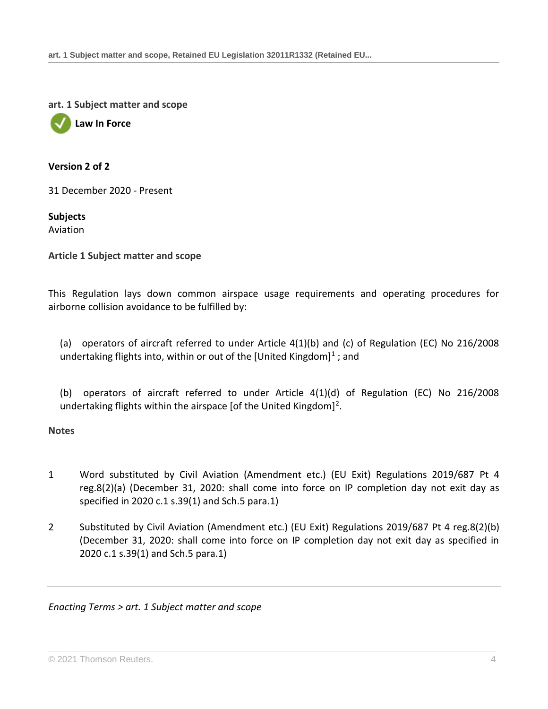**art. 1 Subject matter and scope**



#### **Version 2 of 2**

31 December 2020 - Present

**Subjects** Aviation

**Article 1 Subject matter and scope**

This Regulation lays down common airspace usage requirements and operating procedures for airborne collision avoidance to be fulfilled by:

(a) operators of aircraft referred to under Article 4(1)(b) and (c) of Regulation (EC) No 216/2008 undertaking flights into, within or out of the [United Kingdom]<sup>1</sup>; and

(b) operators of aircraft referred to under Article 4(1)(d) of Regulation (EC) No 216/2008 undertaking flights within the airspace [of the United Kingdom]<sup>2</sup>.

**Notes**

- 1 Word substituted by Civil Aviation (Amendment etc.) (EU Exit) Regulations 2019/687 [Pt 4](http://uk.westlaw.com/Document/I9C18261052B411E99B65B657D25B307F/View/FullText.html?originationContext=document&transitionType=DocumentItem&vr=3.0&rs=PLUK1.0&contextData=(sc.Search))  [reg.8\(2\)\(a\)](http://uk.westlaw.com/Document/I9C18261052B411E99B65B657D25B307F/View/FullText.html?originationContext=document&transitionType=DocumentItem&vr=3.0&rs=PLUK1.0&contextData=(sc.Search)) (December 31, 2020: shall come into force on IP completion day not exit day as specified in 2020 c.1 s.39(1) and Sch.5 para.1)
- 2 Substituted by Civil Aviation (Amendment etc.) (EU Exit) Regulations 2019/687 [Pt 4 reg.8\(2\)\(b\)](http://uk.westlaw.com/Document/I9C18261052B411E99B65B657D25B307F/View/FullText.html?originationContext=document&transitionType=DocumentItem&vr=3.0&rs=PLUK1.0&contextData=(sc.Search)) (December 31, 2020: shall come into force on IP completion day not exit day as specified in 2020 c.1 s.39(1) and Sch.5 para.1)

*Enacting Terms > art. 1 Subject matter and scope*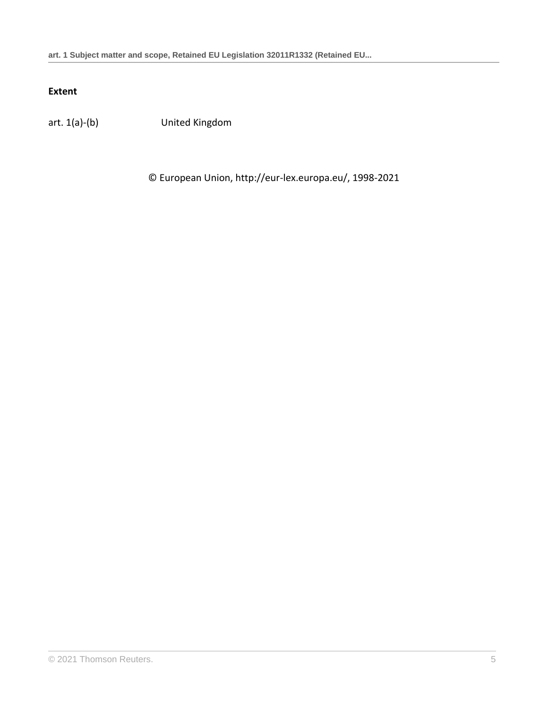# **Extent**

art. 1(a)-(b) United Kingdom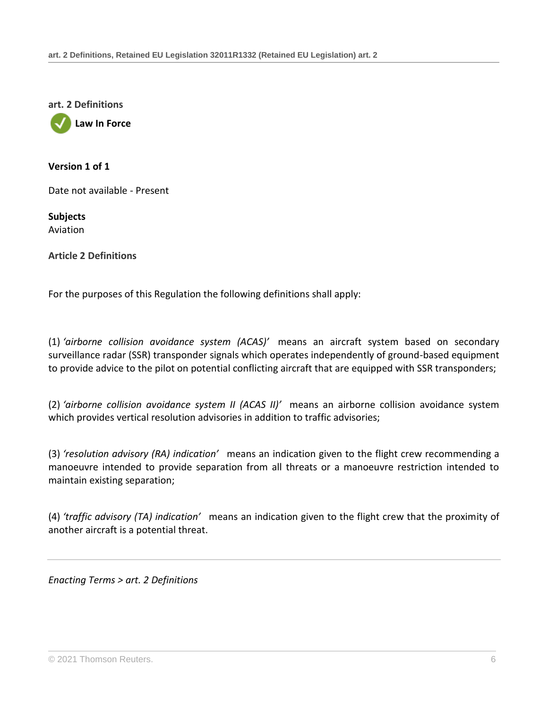**art. 2 Definitions**

**Law In Force**

**Version 1 of 1**

Date not available - Present

**Subjects** Aviation

**Article 2 Definitions**

For the purposes of this Regulation the following definitions shall apply:

(1) *'airborne collision avoidance system (ACAS)'* means an aircraft system based on secondary surveillance radar (SSR) transponder signals which operates independently of ground-based equipment to provide advice to the pilot on potential conflicting aircraft that are equipped with SSR transponders;

(2) *'airborne collision avoidance system II (ACAS II)'* means an airborne collision avoidance system which provides vertical resolution advisories in addition to traffic advisories;

(3) *'resolution advisory (RA) indication'* means an indication given to the flight crew recommending a manoeuvre intended to provide separation from all threats or a manoeuvre restriction intended to maintain existing separation;

(4) *'traffic advisory (TA) indication'* means an indication given to the flight crew that the proximity of another aircraft is a potential threat.

*Enacting Terms > art. 2 Definitions*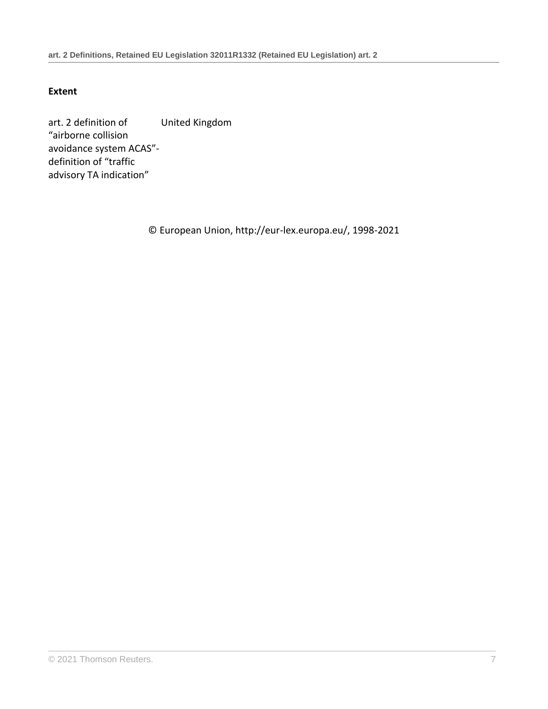## **Extent**

art. 2 definition of "airborne collision avoidance system ACAS" definition of "traffic advisory TA indication" United Kingdom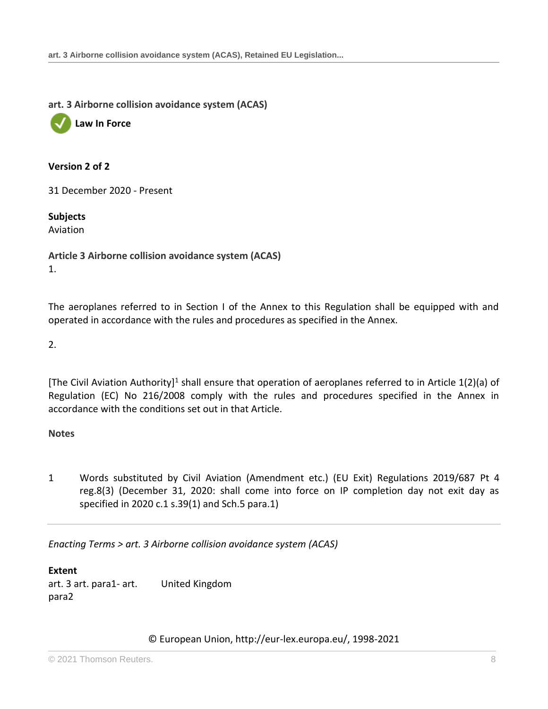**art. 3 Airborne collision avoidance system (ACAS)**



#### **Version 2 of 2**

31 December 2020 - Present

#### **Subjects**

Aviation

**Article 3 Airborne collision avoidance system (ACAS)** 1.

The aeroplanes referred to in Section I of the Annex to this Regulation shall be equipped with and operated in accordance with the rules and procedures as specified in the Annex.

2.

[The Civil Aviation Authority]<sup>1</sup> shall ensure that operation of aeroplanes referred to in Article 1(2)(a) of Regulation (EC) No 216/2008 comply with the rules and procedures specified in the Annex in accordance with the conditions set out in that Article.

#### **Notes**

1 Words substituted by Civil Aviation (Amendment etc.) (EU Exit) Regulations 2019/687 [Pt 4](http://uk.westlaw.com/Document/I9C18261052B411E99B65B657D25B307F/View/FullText.html?originationContext=document&transitionType=DocumentItem&vr=3.0&rs=PLUK1.0&contextData=(sc.Search))  [reg.8\(3\)](http://uk.westlaw.com/Document/I9C18261052B411E99B65B657D25B307F/View/FullText.html?originationContext=document&transitionType=DocumentItem&vr=3.0&rs=PLUK1.0&contextData=(sc.Search)) (December 31, 2020: shall come into force on IP completion day not exit day as specified in 2020 c.1 s.39(1) and Sch.5 para.1)

*Enacting Terms > art. 3 Airborne collision avoidance system (ACAS)*

**Extent** art. 3 art. para1- art. para2 United Kingdom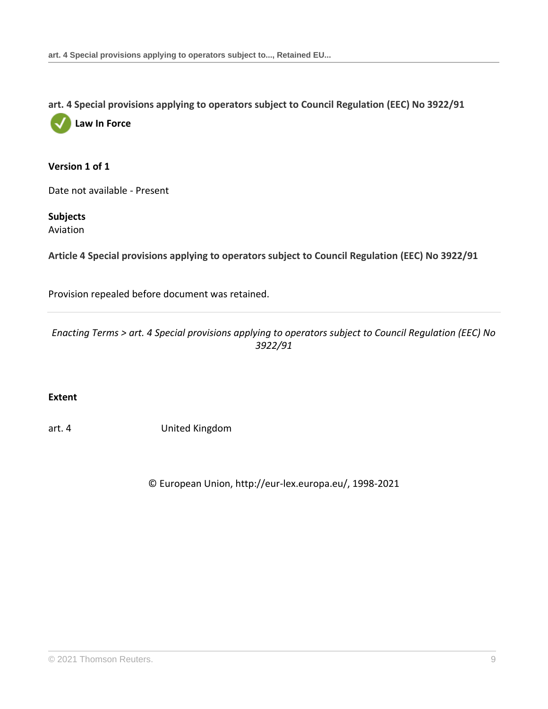**art. 4 Special provisions applying to operators subject to Council Regulation (EEC) No 3922/91**

**Law In Force**

#### **Version 1 of 1**

Date not available - Present

**Subjects** Aviation

**Article 4 Special provisions applying to operators subject to Council Regulation (EEC) No 3922/91**

Provision repealed before document was retained.

*Enacting Terms > art. 4 Special provisions applying to operators subject to Council Regulation (EEC) No 3922/91*

**Extent**

art. 4 United Kingdom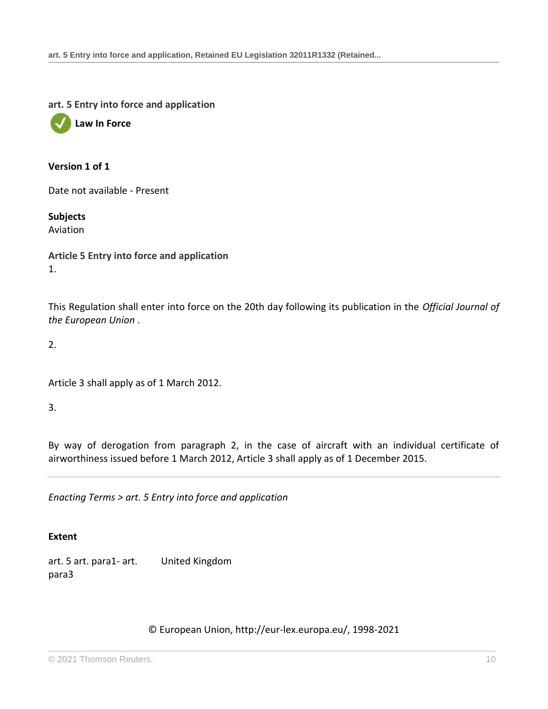**art. 5 Entry into force and application**



#### **Version 1 of 1**

Date not available - Present

**Subjects** Aviation

**Article 5 Entry into force and application** 1.

This Regulation shall enter into force on the 20th day following its publication in the *Official Journal of the European Union* .

2.

Article 3 shall apply as of 1 March 2012.

3.

By way of derogation from paragraph 2, in the case of aircraft with an individual certificate of airworthiness issued before 1 March 2012, Article 3 shall apply as of 1 December 2015.

*Enacting Terms > art. 5 Entry into force and application*

#### **Extent**

art. 5 art. para1- art. para3 United Kingdom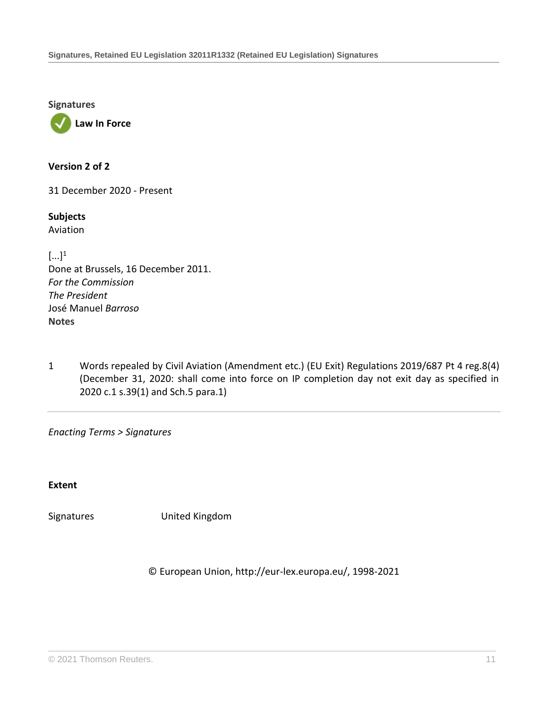**Signatures**



**Version 2 of 2**

31 December 2020 - Present

**Subjects** Aviation

 $[\ldots]^1$ Done at Brussels, 16 December 2011. *For the Commission The President* José Manuel *Barroso* **Notes**

1 Words repealed by Civil Aviation (Amendment etc.) (EU Exit) Regulations 2019/687 [Pt 4 reg.8\(4\)](http://uk.westlaw.com/Document/I9C18261052B411E99B65B657D25B307F/View/FullText.html?originationContext=document&transitionType=DocumentItem&vr=3.0&rs=PLUK1.0&contextData=(sc.Search)) (December 31, 2020: shall come into force on IP completion day not exit day as specified in 2020 c.1 s.39(1) and Sch.5 para.1)

*Enacting Terms > Signatures*

**Extent**

Signatures United Kingdom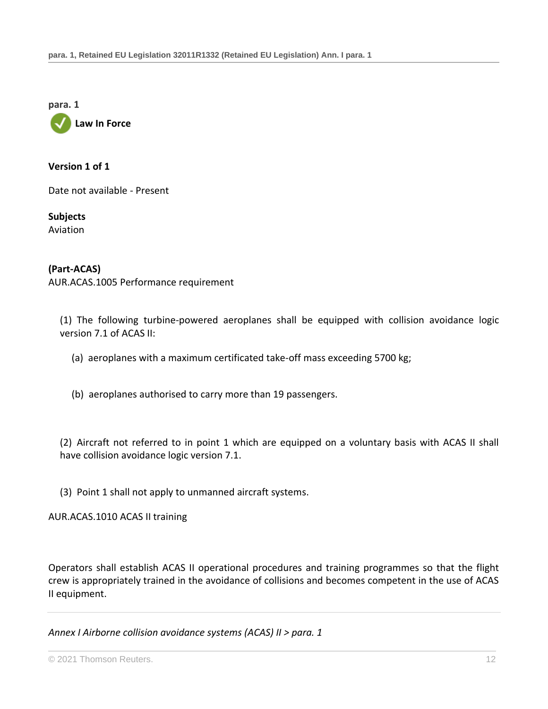**para. 1**



#### **Version 1 of 1**

Date not available - Present

**Subjects** Aviation

#### **(Part-ACAS)**

AUR.ACAS.1005 Performance requirement

(1) The following turbine-powered aeroplanes shall be equipped with collision avoidance logic version 7.1 of ACAS II:

- (a) aeroplanes with a maximum certificated take-off mass exceeding 5700 kg;
- (b) aeroplanes authorised to carry more than 19 passengers.

(2) Aircraft not referred to in point 1 which are equipped on a voluntary basis with ACAS II shall have collision avoidance logic version 7.1.

(3) Point 1 shall not apply to unmanned aircraft systems.

AUR.ACAS.1010 ACAS II training

Operators shall establish ACAS II operational procedures and training programmes so that the flight crew is appropriately trained in the avoidance of collisions and becomes competent in the use of ACAS II equipment.

*Annex I Airborne collision avoidance systems (ACAS) II > para. 1*